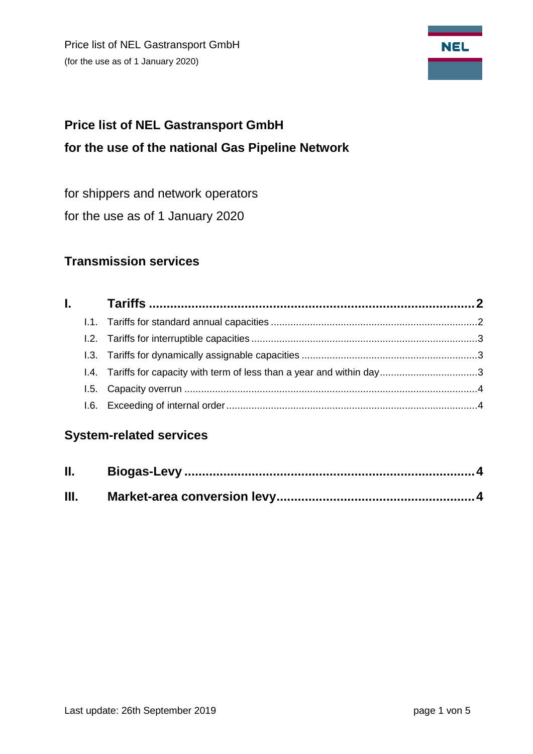Price list of NEL Gastransport GmbH (for the use as of 1 January 2020)



# **Price list of NEL Gastransport GmbH for the use of the national Gas Pipeline Network**

for shippers and network operators

for the use as of 1 January 2020

# **Transmission services**

# **System-related services**

| <b>II.</b> |  |
|------------|--|
| Ш.         |  |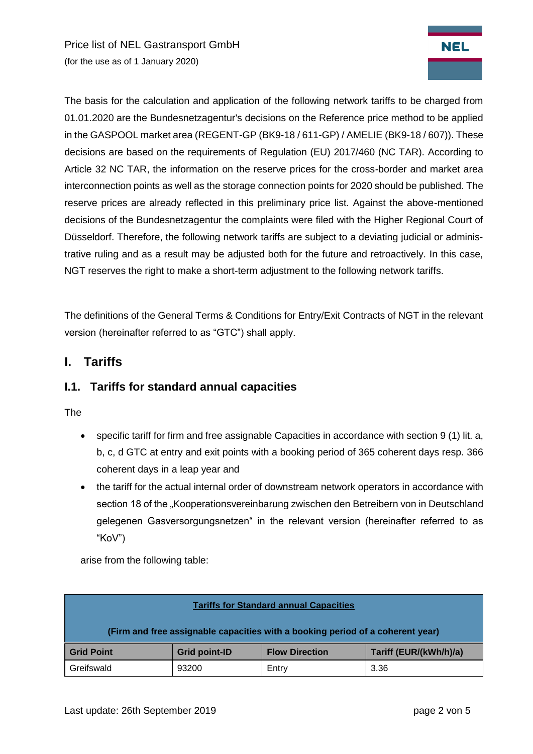Price list of NEL Gastransport GmbH (for the use as of 1 January 2020)



<span id="page-1-0"></span>The definitions of the General Terms & Conditions for Entry/Exit Contracts of NGT in the relevant version (hereinafter referred to as "GTC") shall apply.

## **I. Tariffs**

#### <span id="page-1-1"></span>**I.1. Tariffs for standard annual capacities**

The

- specific tariff for firm and free assignable Capacities in accordance with section 9 (1) lit. a, b, c, d GTC at entry and exit points with a booking period of 365 coherent days resp. 366 coherent days in a leap year and
- the tariff for the actual internal order of downstream network operators in accordance with section 18 of the "Kooperationsvereinbarung zwischen den Betreibern von in Deutschland gelegenen Gasversorgungsnetzen" in the relevant version (hereinafter referred to as "KoV")

arise from the following table:

| <b>Tariffs for Standard annual Capacities</b>                                  |                      |                       |                        |  |  |  |  |
|--------------------------------------------------------------------------------|----------------------|-----------------------|------------------------|--|--|--|--|
| (Firm and free assignable capacities with a booking period of a coherent year) |                      |                       |                        |  |  |  |  |
| <b>Grid Point</b>                                                              | <b>Grid point-ID</b> | <b>Flow Direction</b> | Tariff (EUR/(kWh/h)/a) |  |  |  |  |
| Greifswald                                                                     | 93200                | Entry                 | 3.36                   |  |  |  |  |

**NEL**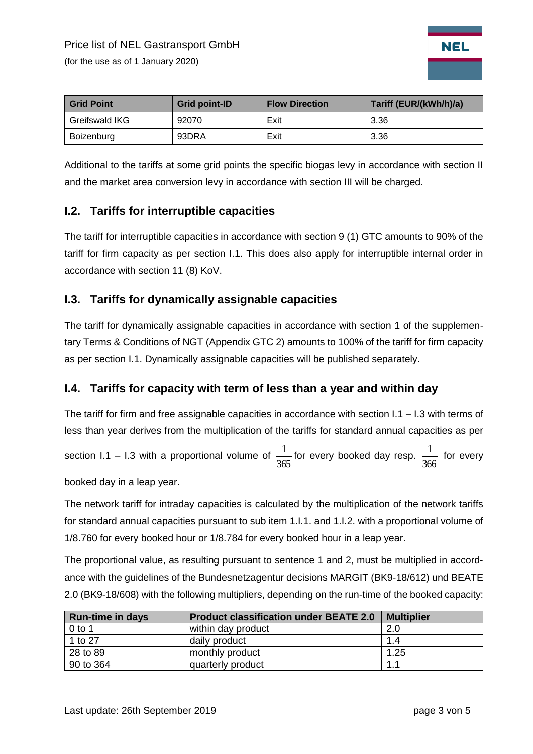(for the use as of 1 January 2020)



| <b>Grid Point</b> | <b>Grid point-ID</b> | <b>Flow Direction</b> | Tariff (EUR/(kWh/h)/a) |
|-------------------|----------------------|-----------------------|------------------------|
| Greifswald IKG    | 92070                | Exit                  | 3.36                   |
| Boizenburg        | 93DRA                | Exit                  | 3.36                   |

Additional to the tariffs at some grid points the specific biogas levy in accordance with section II and the market area conversion levy in accordance with section III will be charged.

## <span id="page-2-0"></span>**I.2. Tariffs for interruptible capacities**

The tariff for interruptible capacities in accordance with section 9 (1) GTC amounts to 90% of the tariff for firm capacity as per section I.1. This does also apply for interruptible internal order in accordance with section 11 (8) KoV.

#### <span id="page-2-1"></span>**I.3. Tariffs for dynamically assignable capacities**

The tariff for dynamically assignable capacities in accordance with section 1 of the supplementary Terms & Conditions of NGT (Appendix GTC 2) amounts to 100% of the tariff for firm capacity as per section I.1. Dynamically assignable capacities will be published separately.

## <span id="page-2-2"></span>**I.4. Tariffs for capacity with term of less than a year and within day**

The tariff for firm and free assignable capacities in accordance with section I.1 – I.3 with terms of less than year derives from the multiplication of the tariffs for standard annual capacities as per

section I.1 – I.3 with a proportional volume of 365  $\frac{1}{\sqrt{2}}$  for every booked day resp. 366  $\frac{1}{\sqrt{2}}$  for every

booked day in a leap year.

The network tariff for intraday capacities is calculated by the multiplication of the network tariffs for standard annual capacities pursuant to sub item 1.I.1. and 1.I.2. with a proportional volume of 1/8.760 for every booked hour or 1/8.784 for every booked hour in a leap year.

The proportional value, as resulting pursuant to sentence 1 and 2, must be multiplied in accordance with the guidelines of the Bundesnetzagentur decisions MARGIT (BK9-18/612) und BEATE 2.0 (BK9-18/608) with the following multipliers, depending on the run-time of the booked capacity:

| <b>Run-time in days</b> | <b>Product classification under BEATE 2.0</b> | <b>Multiplier</b> |
|-------------------------|-----------------------------------------------|-------------------|
| $0$ to 1                | within day product                            | 2.0               |
| 1 to 27                 | daily product                                 | 1.4               |
| 28 to 89                | monthly product                               | 1.25              |
| 90 to 364               | quarterly product                             | 1.1               |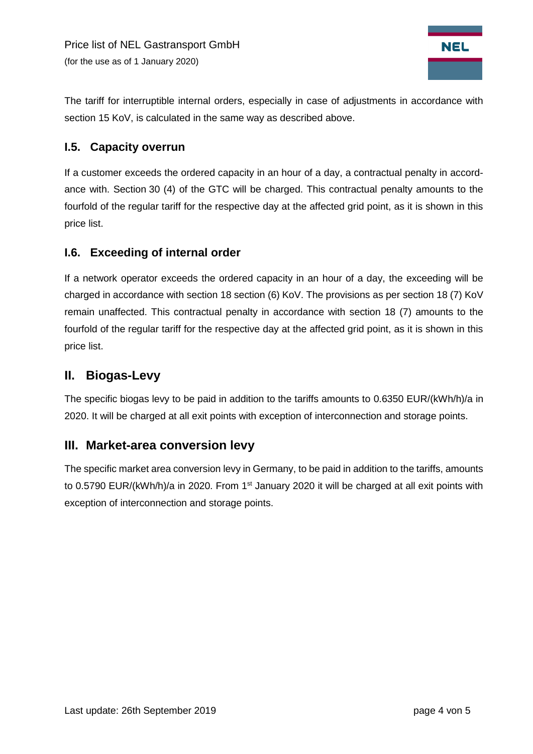

The tariff for interruptible internal orders, especially in case of adjustments in accordance with section 15 KoV, is calculated in the same way as described above.

#### <span id="page-3-0"></span>**I.5. Capacity overrun**

If a customer exceeds the ordered capacity in an hour of a day, a contractual penalty in accordance with. Section 30 (4) of the GTC will be charged. This contractual penalty amounts to the fourfold of the regular tariff for the respective day at the affected grid point, as it is shown in this price list.

#### <span id="page-3-1"></span>**I.6. Exceeding of internal order**

If a network operator exceeds the ordered capacity in an hour of a day, the exceeding will be charged in accordance with section 18 section (6) KoV. The provisions as per section 18 (7) KoV remain unaffected. This contractual penalty in accordance with section 18 (7) amounts to the fourfold of the regular tariff for the respective day at the affected grid point, as it is shown in this price list.

# <span id="page-3-2"></span>**II. Biogas-Levy**

The specific biogas levy to be paid in addition to the tariffs amounts to 0.6350 EUR/(kWh/h)/a in 2020. It will be charged at all exit points with exception of interconnection and storage points.

## <span id="page-3-3"></span>**III. Market-area conversion levy**

The specific market area conversion levy in Germany, to be paid in addition to the tariffs, amounts to 0.5790 EUR/(kWh/h)/a in 2020. From 1<sup>st</sup> January 2020 it will be charged at all exit points with exception of interconnection and storage points.